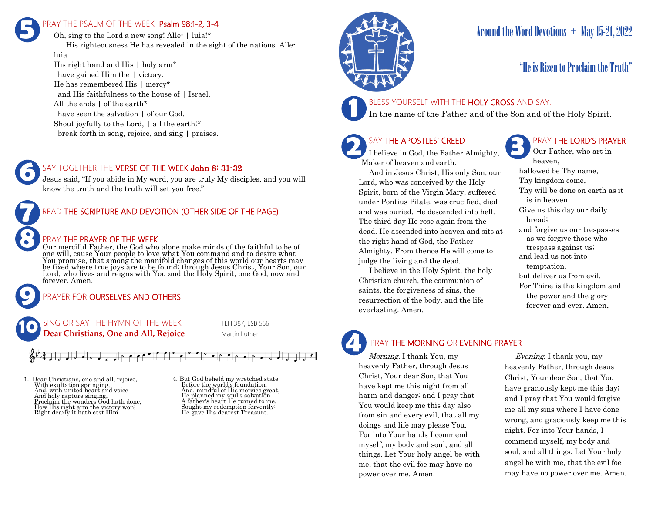### PRAY THE PSALM OF THE WEEK Psalm 98:1-2, 3-4 **5**

Oh, sing to the Lord a new song! Alle- | luia!\* His righteousness He has revealed in the sight of the nations. Alle- | luia

His right hand and His | holy arm\* have gained Him the | victory. He has remembered His | mercy\* and His faithfulness to the house of | Israel. All the ends | of the earth\* have seen the salvation | of our God. Shout joyfully to the Lord, | all the earth;\* break forth in song, rejoice, and sing | praises.



**9**

**8**

#### SAY TOGETHER THE VERSE OF THE WEEK John 8: 31-32

Jesus said, "If you abide in My word, you are truly My disciples, and you will know the truth and the truth will set you free."



#### PRAY THE PRAYER OF THE WEEK

Our merciful Father, the God who alone make minds of the faithful to be of one will, cause Your people to love what You command and to desire what You promise, that among the manifold changes of this world our hearts may be fixed where true joys are to be found; through Jesus Christ, Your Son, our Lord, who lives and reigns with You and the Holy Spirit, one God, now and forever. Amen.

### PRAYER FOR **OURSELVES AND OTHERS**

 $\left| \cdot \right|$   $\left| \cdot \right|$ 



1. Dear Christians, one and all, rejoice, With exultation springing, And, with united heart and voice And holy rapture singing, Proclaim the wonders God hath done, How His right arm the victory won; Right dearly it hath cost Him.

4. But God beheld my wretched state Before the world's foundation, And, mindful of His mercies great, He planned my soul's salvation. A father's heart He turned to me, Sought my redemption fervently: He gave His dearest Treasure.



# Around the Word Devotions  $+$  May 15-21, 2022

### "He is Risen to Proclaim the Truth"



BLESS YOURSELF WITH THE HOLY CROSS AND SAY:

In the name of the Father and of the Son and of the Holy Spirit.

### SAY THE APOSTLES' CREED

**2 SAY THE APOSTLES' CREED I** believe in God, the Father Almighty, Maker of heaven and earth.

 And in Jesus Christ, His only Son, our Lord, who was conceived by the Holy Spirit, born of the Virgin Mary, suffered under Pontius Pilate, was crucified, died and was buried. He descended into hell. The third day He rose again from the dead. He ascended into heaven and sits at the right hand of God, the Father Almighty. From thence He will come to judge the living and the dead.

 I believe in the Holy Spirit, the holy Christian church, the communion of saints, the forgiveness of sins, the resurrection of the body, and the life everlasting. Amen.

### PRAY THE LORD'S PRAYER

Our Father, who art in heaven, hallowed be Thy name, Thy kingdom come, Thy will be done on earth as it is in heaven. Give us this day our daily bread; and forgive us our trespasses as we forgive those who trespass against us; and lead us not into temptation, but deliver us from evil. For Thine is the kingdom and the power and the glory forever and ever. Amen.

# PRAY THE MORNING OR EVENING PRAYER

Morning. I thank You, my heavenly Father, through Jesus Christ, Your dear Son, that You have kept me this night from all harm and danger; and I pray that You would keep me this day also from sin and every evil, that all my doings and life may please You. For into Your hands I commend myself, my body and soul, and all things. Let Your holy angel be with me, that the evil foe may have no power over me. Amen. **4**

 Evening. I thank you, my heavenly Father, through Jesus Christ, Your dear Son, that You have graciously kept me this day; and I pray that You would forgive me all my sins where I have done wrong, and graciously keep me this night. For into Your hands, I commend myself, my body and soul, and all things. Let Your holy angel be with me, that the evil foe may have no power over me. Amen.